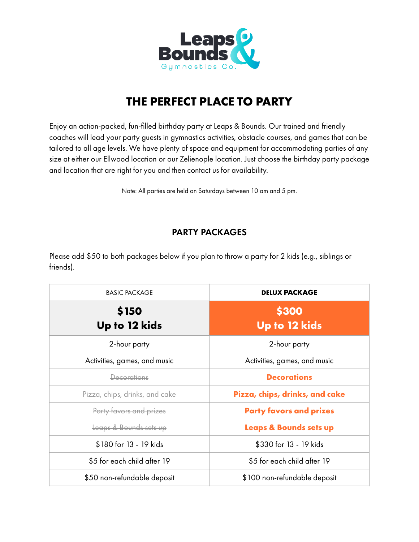

# **THE PERFECT PLACE TO PARTY**

Enjoy an action-packed, fun-filled birthday party at Leaps & Bounds. Our trained and friendly coaches will lead your party guests in gymnastics activities, obstacle courses, and games that can be tailored to all age levels. We have plenty of space and equipment for accommodating parties of any size at either our Ellwood location or our Zelienople location. Just choose the birthday party package and location that are right for you and then contact us for availability.

Note: All parties are held on Saturdays between 10 am and 5 pm.

## PARTY PACKAGES

Please add \$50 to both packages below if you plan to throw a party for 2 kids (e.g., siblings or friends).

| <b>BASIC PACKAGE</b>           | <b>DELUX PACKAGE</b>              |  |  |
|--------------------------------|-----------------------------------|--|--|
| \$150                          | \$300                             |  |  |
| Up to 12 kids                  | Up to 12 kids                     |  |  |
| 2-hour party                   | 2-hour party                      |  |  |
| Activities, games, and music   | Activities, games, and music      |  |  |
| Decorations                    | <b>Decorations</b>                |  |  |
| Pizza, chips, drinks, and cake | Pizza, chips, drinks, and cake    |  |  |
| Party favors and prizes        | <b>Party favors and prizes</b>    |  |  |
| Leaps & Bounds sets up         | <b>Leaps &amp; Bounds sets up</b> |  |  |
| \$180 for 13 - 19 kids         | \$330 for 13 - 19 kids            |  |  |
| \$5 for each child after 19    | \$5 for each child after 19       |  |  |
| \$50 non-refundable deposit    | \$100 non-refundable deposit      |  |  |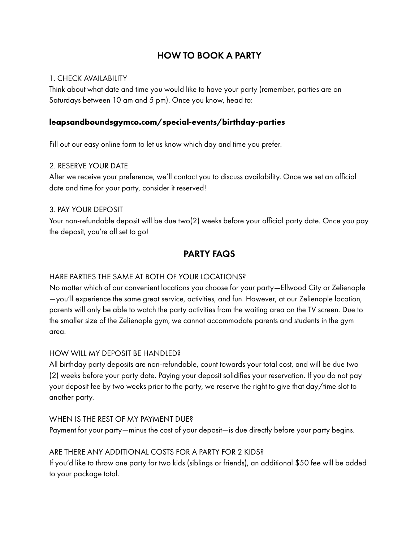## HOW TO BOOK A PARTY

#### 1. CHECK AVAILABILITY

Think about what date and time you would like to have your party (remember, parties are on Saturdays between 10 am and 5 pm). Once you know, head to:

#### **[leapsandboundsgymco.com/special-events/birthday-parties](http://leapsandboundsgymco.com/special-events/birthday-parties)**

Fill out our easy online form to let us know which day and time you prefer.

#### 2. RESERVE YOUR DATE

After we receive your preference, we'll contact you to discuss availability. Once we set an official date and time for your party, consider it reserved!

#### 3. PAY YOUR DEPOSIT

Your non-refundable deposit will be due two(2) weeks before your official party date. Once you pay the deposit, you're all set to go!

## PARTY FAQS

#### HARE PARTIES THE SAME AT BOTH OF YOUR LOCATIONS?

No matter which of our convenient locations you choose for your party—Ellwood City or Zelienople —you'll experience the same great service, activities, and fun. However, at our Zelienople location, parents will only be able to watch the party activities from the waiting area on the TV screen. Due to the smaller size of the Zelienople gym, we cannot accommodate parents and students in the gym area.

#### HOW WILL MY DEPOSIT BE HANDLED?

All birthday party deposits are non-refundable, count towards your total cost, and will be due two (2) weeks before your party date. Paying your deposit solidifies your reservation. If you do not pay your deposit fee by two weeks prior to the party, we reserve the right to give that day/time slot to another party.

#### WHEN IS THE REST OF MY PAYMENT DUE?

Payment for your party—minus the cost of your deposit—is due directly before your party begins.

#### ARE THERE ANY ADDITIONAL COSTS FOR A PARTY FOR 2 KIDS?

If you'd like to throw one party for two kids (siblings or friends), an additional \$50 fee will be added to your package total.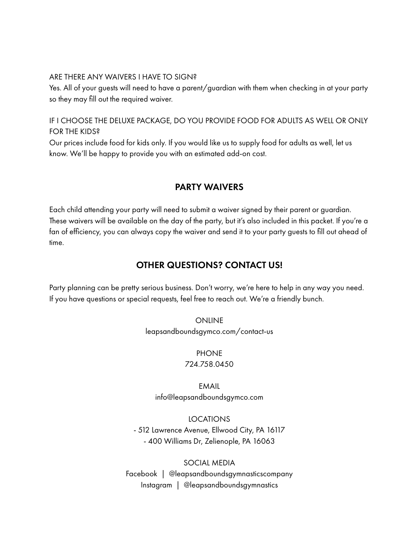#### ARE THERE ANY WAIVERS I HAVE TO SIGN?

Yes. All of your guests will need to have a parent/guardian with them when checking in at your party so they may fill out the required waiver.

#### IF I CHOOSE THE DELUXE PACKAGE, DO YOU PROVIDE FOOD FOR ADULTS AS WELL OR ONLY FOR THE KIDS?

Our prices include food for kids only. If you would like us to supply food for adults as well, let us know. We'll be happy to provide you with an estimated add-on cost.

### PARTY WAIVERS

Each child attending your party will need to submit a waiver signed by their parent or guardian. These waivers will be available on the day of the party, but it's also included in this packet. If you're a fan of efficiency, you can always copy the waiver and send it to your party guests to fill out ahead of time.

### OTHER QUESTIONS? CONTACT US!

Party planning can be pretty serious business. Don't worry, we're here to help in any way you need. If you have questions or special requests, feel free to reach out. We're a friendly bunch.

> ONLINE leapsandboundsgymco.com/contact-us

#### **PHONE** 724.758.0450

EMAIL info@leapsandboundsgymco.com

LOCATIONS - 512 Lawrence Avenue, Ellwood City, PA 16117 - 400 Williams Dr, Zelienople, PA 16063

SOCIAL MEDIA Facebook | @leapsandboundsgymnasticscompany Instagram | @leapsandboundsgymnastics